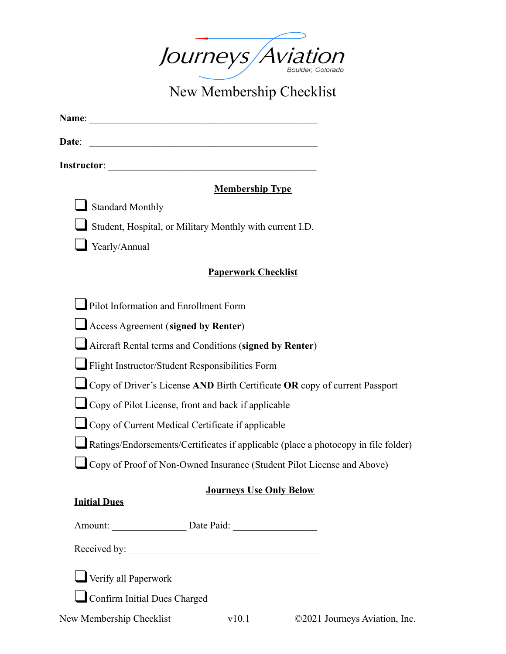

New Membership Checklist

| <b>Name:</b> |  |  |  |
|--------------|--|--|--|
|              |  |  |  |

**Date**:

**Instructor**:

# **Membership Type**

❑ Standard Monthly

❑ Student, Hospital, or Military Monthly with current I.D.

❑ Yearly/Annual

## **Paperwork Checklist**

| $\Box$ Pilot Information and Enrollment Form |
|----------------------------------------------|
|----------------------------------------------|

| Access Agreement (signed by Renter) |  |
|-------------------------------------|--|
|-------------------------------------|--|

❑Aircraft Rental terms and Conditions (**signed by Renter**)

❑Flight Instructor/Student Responsibilities Form

❑Copy of Driver's License **AND** Birth Certificate **OR** copy of current Passport

❑Copy of Pilot License, front and back if applicable

❑Copy of Current Medical Certificate if applicable

❑Ratings/Endorsements/Certificates if applicable (place a photocopy in file folder)

❑Copy of Proof of Non-Owned Insurance (Student Pilot License and Above)

# **Journeys Use Only Below**

## **Initial Dues**

Amount: \_\_\_\_\_\_\_\_\_\_\_\_\_\_\_ Date Paid: \_\_\_\_\_\_\_\_\_\_\_\_\_\_\_\_\_

Received by:  $\qquad \qquad$ 

❑Verify all Paperwork

❑Confirm Initial Dues Charged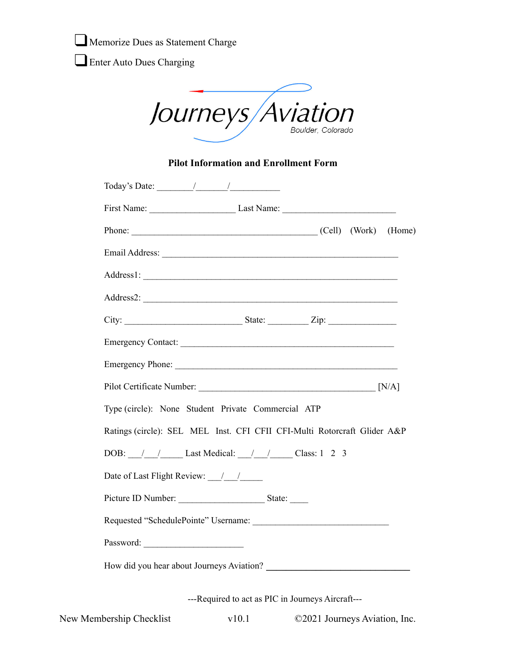Memorize Dues as Statement Charge

Enter Auto Dues Charging

Journeys Aviation

#### **Pilot Information and Enrollment Form**

| Today's Date: $\frac{1}{\sqrt{1-\frac{1}{2}}}\frac{1}{\sqrt{1-\frac{1}{2}}}\frac{1}{\sqrt{1-\frac{1}{2}}}\frac{1}{\sqrt{1-\frac{1}{2}}}\frac{1}{\sqrt{1-\frac{1}{2}}}\frac{1}{\sqrt{1-\frac{1}{2}}}\frac{1}{\sqrt{1-\frac{1}{2}}}\frac{1}{\sqrt{1-\frac{1}{2}}}\frac{1}{\sqrt{1-\frac{1}{2}}}\frac{1}{\sqrt{1-\frac{1}{2}}}\frac{1}{\sqrt{1-\frac{1}{2}}}\frac{1}{\sqrt{1-\frac{1}{2}}}\frac{1}{\sqrt{1-\frac{1}{$ |
|--------------------------------------------------------------------------------------------------------------------------------------------------------------------------------------------------------------------------------------------------------------------------------------------------------------------------------------------------------------------------------------------------------------------|
| First Name: Last Name: Last Name:                                                                                                                                                                                                                                                                                                                                                                                  |
| Phone: (Cell) (Work) (Home)                                                                                                                                                                                                                                                                                                                                                                                        |
|                                                                                                                                                                                                                                                                                                                                                                                                                    |
|                                                                                                                                                                                                                                                                                                                                                                                                                    |
| Address2:                                                                                                                                                                                                                                                                                                                                                                                                          |
|                                                                                                                                                                                                                                                                                                                                                                                                                    |
| Emergency Contact:                                                                                                                                                                                                                                                                                                                                                                                                 |
|                                                                                                                                                                                                                                                                                                                                                                                                                    |
|                                                                                                                                                                                                                                                                                                                                                                                                                    |
| Type (circle): None Student Private Commercial ATP                                                                                                                                                                                                                                                                                                                                                                 |
| Ratings (circle): SEL MEL Inst. CFI CFII CFI-Multi Rotorcraft Glider A&P                                                                                                                                                                                                                                                                                                                                           |
| DOB: /// Last Medical: /// / Class: 1 2 3                                                                                                                                                                                                                                                                                                                                                                          |
|                                                                                                                                                                                                                                                                                                                                                                                                                    |
|                                                                                                                                                                                                                                                                                                                                                                                                                    |
|                                                                                                                                                                                                                                                                                                                                                                                                                    |
|                                                                                                                                                                                                                                                                                                                                                                                                                    |
| How did you hear about Journeys Aviation?                                                                                                                                                                                                                                                                                                                                                                          |
|                                                                                                                                                                                                                                                                                                                                                                                                                    |

---Required to act as PIC in Journeys Aircraft---

New Membership Checklist v10.1 ©2021 Journeys Aviation, Inc.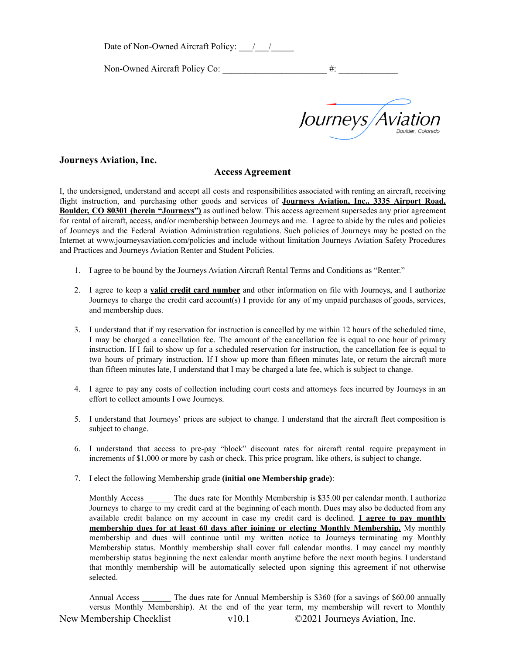Date of Non-Owned Aircraft Policy:  $\frac{1}{2}$ 

Non-Owned Aircraft Policy Co:  $\#$ :

*Journeys Aviatic* 

#### **Journeys Aviation, Inc.**

#### **Access Agreement**

I, the undersigned, understand and accept all costs and responsibilities associated with renting an aircraft, receiving flight instruction, and purchasing other goods and services of **Journeys Aviation, Inc., 3335 Airport Road, Boulder, CO 80301 (herein "Journeys")** as outlined below. This access agreement supersedes any prior agreement for rental of aircraft, access, and/or membership between Journeys and me. I agree to abide by the rules and policies of Journeys and the Federal Aviation Administration regulations. Such policies of Journeys may be posted on the Internet at www.journeysaviation.com/policies and include without limitation Journeys Aviation Safety Procedures and Practices and Journeys Aviation Renter and Student Policies.

- 1. I agree to be bound by the Journeys Aviation Aircraft Rental Terms and Conditions as "Renter."
- 2. I agree to keep a **valid credit card number** and other information on file with Journeys, and I authorize Journeys to charge the credit card account(s) I provide for any of my unpaid purchases of goods, services, and membership dues.
- 3. I understand that if my reservation for instruction is cancelled by me within 12 hours of the scheduled time, I may be charged a cancellation fee. The amount of the cancellation fee is equal to one hour of primary instruction. If I fail to show up for a scheduled reservation for instruction, the cancellation fee is equal to two hours of primary instruction. If I show up more than fifteen minutes late, or return the aircraft more than fifteen minutes late, I understand that I may be charged a late fee, which is subject to change.
- 4. I agree to pay any costs of collection including court costs and attorneys fees incurred by Journeys in an effort to collect amounts I owe Journeys.
- 5. I understand that Journeys' prices are subject to change. I understand that the aircraft fleet composition is subject to change.
- 6. I understand that access to pre-pay "block" discount rates for aircraft rental require prepayment in increments of \$1,000 or more by cash or check. This price program, like others, is subject to change.
- 7. I elect the following Membership grade **(initial one Membership grade)**:

Monthly Access The dues rate for Monthly Membership is \$35.00 per calendar month. I authorize Journeys to charge to my credit card at the beginning of each month. Dues may also be deducted from any available credit balance on my account in case my credit card is declined. **I agree to pay monthly membership dues for at least 60 days after joining or electing Monthly Membership.** My monthly membership and dues will continue until my written notice to Journeys terminating my Monthly Membership status. Monthly membership shall cover full calendar months. I may cancel my monthly membership status beginning the next calendar month anytime before the next month begins. I understand that monthly membership will be automatically selected upon signing this agreement if not otherwise selected.

Annual Access \_\_\_\_\_\_\_ The dues rate for Annual Membership is \$360 (for a savings of \$60.00 annually versus Monthly Membership). At the end of the year term, my membership will revert to Monthly New Membership Checklist v10.1 ©2021 Journeys Aviation, Inc.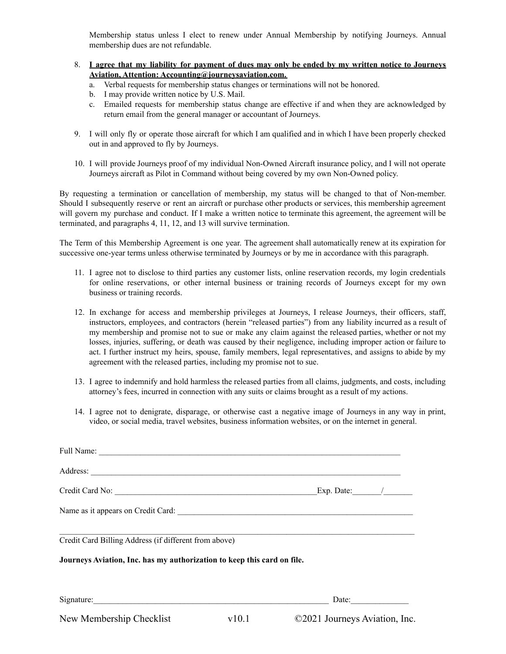Membership status unless I elect to renew under Annual Membership by notifying Journeys. Annual membership dues are not refundable.

- 8. Lagree that my liability for payment of dues may only be ended by my written notice to Journeys **Aviation, Attention: Accounting@journeysaviation.com.**
	- a. Verbal requests for membership status changes or terminations will not be honored.
	- b. I may provide written notice by U.S. Mail.
	- c. Emailed requests for membership status change are effective if and when they are acknowledged by return email from the general manager or accountant of Journeys.
- 9. I will only fly or operate those aircraft for which I am qualified and in which I have been properly checked out in and approved to fly by Journeys.
- 10. I will provide Journeys proof of my individual Non-Owned Aircraft insurance policy, and I will not operate Journeys aircraft as Pilot in Command without being covered by my own Non-Owned policy.

By requesting a termination or cancellation of membership, my status will be changed to that of Non-member. Should I subsequently reserve or rent an aircraft or purchase other products or services, this membership agreement will govern my purchase and conduct. If I make a written notice to terminate this agreement, the agreement will be terminated, and paragraphs 4, 11, 12, and 13 will survive termination.

The Term of this Membership Agreement is one year. The agreement shall automatically renew at its expiration for successive one-year terms unless otherwise terminated by Journeys or by me in accordance with this paragraph.

- 11. I agree not to disclose to third parties any customer lists, online reservation records, my login credentials for online reservations, or other internal business or training records of Journeys except for my own business or training records.
- 12. In exchange for access and membership privileges at Journeys, I release Journeys, their officers, staff, instructors, employees, and contractors (herein "released parties") from any liability incurred as a result of my membership and promise not to sue or make any claim against the released parties, whether or not my losses, injuries, suffering, or death was caused by their negligence, including improper action or failure to act. I further instruct my heirs, spouse, family members, legal representatives, and assigns to abide by my agreement with the released parties, including my promise not to sue.
- 13. I agree to indemnify and hold harmless the released parties from all claims, judgments, and costs, including attorney's fees, incurred in connection with any suits or claims brought as a result of my actions.
- 14. I agree not to denigrate, disparage, or otherwise cast a negative image of Journeys in any way in print, video, or social media, travel websites, business information websites, or on the internet in general.

| Full Name:                                                                                                                                                                                                                         |       |                               |  |
|------------------------------------------------------------------------------------------------------------------------------------------------------------------------------------------------------------------------------------|-------|-------------------------------|--|
| Address: <u>New York: Address:</u> New York: 2008. The Contract of the Contract of the Contract of the Contract of the Contract of the Contract of the Contract of the Contract of the Contract of the Contract of the Contract of |       |                               |  |
|                                                                                                                                                                                                                                    |       |                               |  |
|                                                                                                                                                                                                                                    |       |                               |  |
| Credit Card Billing Address (if different from above)<br>Journeys Aviation, Inc. has my authorization to keep this card on file.                                                                                                   |       |                               |  |
| Signature:                                                                                                                                                                                                                         |       | Date:                         |  |
| New Membership Checklist                                                                                                                                                                                                           | v10.1 | ©2021 Journeys Aviation, Inc. |  |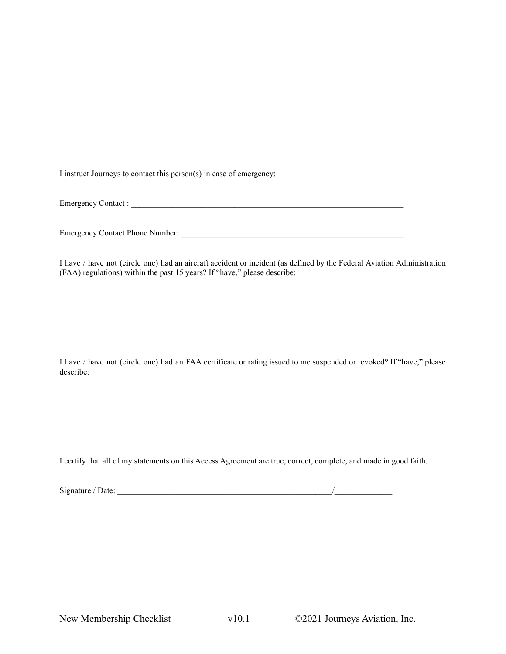I instruct Journeys to contact this person(s) in case of emergency:

Emergency Contact :

Emergency Contact Phone Number: \_\_\_\_\_\_\_\_\_\_\_\_\_\_\_\_\_\_\_\_\_\_\_\_\_\_\_\_\_\_\_\_\_\_\_\_\_\_\_\_\_\_\_\_\_\_\_\_\_\_\_\_\_\_

I have / have not (circle one) had an aircraft accident or incident (as defined by the Federal Aviation Administration (FAA) regulations) within the past 15 years? If "have," please describe:

I have / have not (circle one) had an FAA certificate or rating issued to me suspended or revoked? If "have," please describe:

I certify that all of my statements on this Access Agreement are true, correct, complete, and made in good faith.

| Signature / Date: |  |
|-------------------|--|
|                   |  |

Signature / Date: \_\_\_\_\_\_\_\_\_\_\_\_\_\_\_\_\_\_\_\_\_\_\_\_\_\_\_\_\_\_\_\_\_\_\_\_\_\_\_\_\_\_\_\_\_\_\_\_\_\_\_\_/\_\_\_\_\_\_\_\_\_\_\_\_\_\_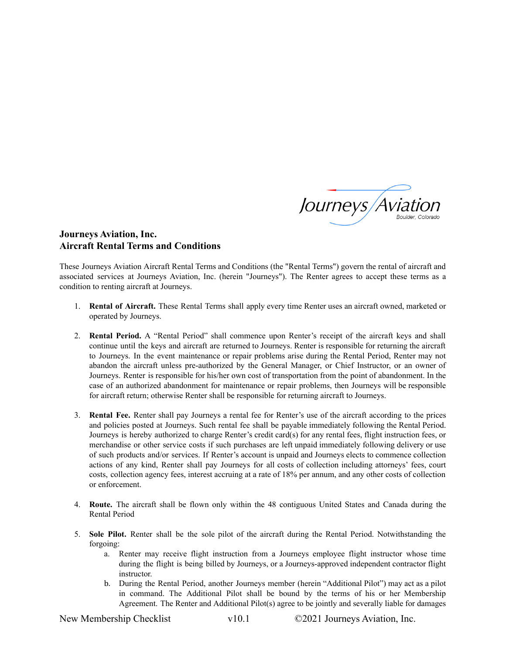

### **Journeys Aviation, Inc. Aircraft Rental Terms and Conditions**

These Journeys Aviation Aircraft Rental Terms and Conditions (the "Rental Terms") govern the rental of aircraft and associated services at Journeys Aviation, Inc. (herein "Journeys"). The Renter agrees to accept these terms as a condition to renting aircraft at Journeys.

- 1. **Rental of Aircraft.** These Rental Terms shall apply every time Renter uses an aircraft owned, marketed or operated by Journeys.
- 2. **Rental Period.** A "Rental Period" shall commence upon Renter's receipt of the aircraft keys and shall continue until the keys and aircraft are returned to Journeys. Renter is responsible for returning the aircraft to Journeys. In the event maintenance or repair problems arise during the Rental Period, Renter may not abandon the aircraft unless pre-authorized by the General Manager, or Chief Instructor, or an owner of Journeys. Renter is responsible for his/her own cost of transportation from the point of abandonment. In the case of an authorized abandonment for maintenance or repair problems, then Journeys will be responsible for aircraft return; otherwise Renter shall be responsible for returning aircraft to Journeys.
- 3. **Rental Fee.** Renter shall pay Journeys a rental fee for Renter's use of the aircraft according to the prices and policies posted at Journeys. Such rental fee shall be payable immediately following the Rental Period. Journeys is hereby authorized to charge Renter's credit card(s) for any rental fees, flight instruction fees, or merchandise or other service costs if such purchases are left unpaid immediately following delivery or use of such products and/or services. If Renter's account is unpaid and Journeys elects to commence collection actions of any kind, Renter shall pay Journeys for all costs of collection including attorneys' fees, court costs, collection agency fees, interest accruing at a rate of 18% per annum, and any other costs of collection or enforcement.
- 4. **Route.** The aircraft shall be flown only within the 48 contiguous United States and Canada during the Rental Period
- 5. **Sole Pilot.** Renter shall be the sole pilot of the aircraft during the Rental Period. Notwithstanding the forgoing:
	- a. Renter may receive flight instruction from a Journeys employee flight instructor whose time during the flight is being billed by Journeys, or a Journeys-approved independent contractor flight instructor.
	- b. During the Rental Period, another Journeys member (herein "Additional Pilot") may act as a pilot in command. The Additional Pilot shall be bound by the terms of his or her Membership Agreement. The Renter and Additional Pilot(s) agree to be jointly and severally liable for damages

New Membership Checklist v10.1 ©2021 Journeys Aviation, Inc.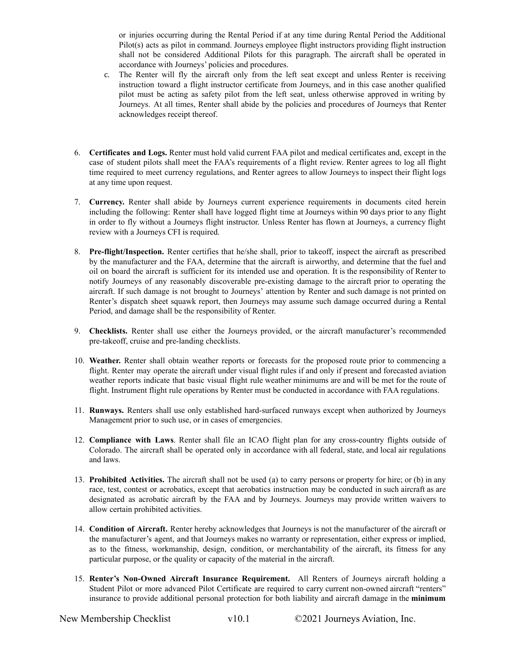or injuries occurring during the Rental Period if at any time during Rental Period the Additional Pilot(s) acts as pilot in command. Journeys employee flight instructors providing flight instruction shall not be considered Additional Pilots for this paragraph. The aircraft shall be operated in accordance with Journeys' policies and procedures.

- c. The Renter will fly the aircraft only from the left seat except and unless Renter is receiving instruction toward a flight instructor certificate from Journeys, and in this case another qualified pilot must be acting as safety pilot from the left seat, unless otherwise approved in writing by Journeys. At all times, Renter shall abide by the policies and procedures of Journeys that Renter acknowledges receipt thereof.
- 6. **Certificates and Logs.** Renter must hold valid current FAA pilot and medical certificates and, except in the case of student pilots shall meet the FAA's requirements of a flight review. Renter agrees to log all flight time required to meet currency regulations, and Renter agrees to allow Journeys to inspect their flight logs at any time upon request.
- 7. **Currency.** Renter shall abide by Journeys current experience requirements in documents cited herein including the following: Renter shall have logged flight time at Journeys within 90 days prior to any flight in order to fly without a Journeys flight instructor. Unless Renter has flown at Journeys, a currency flight review with a Journeys CFI is required.
- 8. **Pre-flight/Inspection.** Renter certifies that he/she shall, prior to takeoff, inspect the aircraft as prescribed by the manufacturer and the FAA, determine that the aircraft is airworthy, and determine that the fuel and oil on board the aircraft is sufficient for its intended use and operation. It is the responsibility of Renter to notify Journeys of any reasonably discoverable pre-existing damage to the aircraft prior to operating the aircraft. If such damage is not brought to Journeys' attention by Renter and such damage is not printed on Renter's dispatch sheet squawk report, then Journeys may assume such damage occurred during a Rental Period, and damage shall be the responsibility of Renter.
- 9. **Checklists.** Renter shall use either the Journeys provided, or the aircraft manufacturer's recommended pre-takeoff, cruise and pre-landing checklists.
- 10. **Weather.** Renter shall obtain weather reports or forecasts for the proposed route prior to commencing a flight. Renter may operate the aircraft under visual flight rules if and only if present and forecasted aviation weather reports indicate that basic visual flight rule weather minimums are and will be met for the route of flight. Instrument flight rule operations by Renter must be conducted in accordance with FAA regulations.
- 11. **Runways.** Renters shall use only established hard-surfaced runways except when authorized by Journeys Management prior to such use, or in cases of emergencies.
- 12. **Compliance with Laws**. Renter shall file an ICAO flight plan for any cross-country flights outside of Colorado. The aircraft shall be operated only in accordance with all federal, state, and local air regulations and laws.
- 13. **Prohibited Activities.** The aircraft shall not be used (a) to carry persons or property for hire; or (b) in any race, test, contest or acrobatics, except that aerobatics instruction may be conducted in such aircraft as are designated as acrobatic aircraft by the FAA and by Journeys. Journeys may provide written waivers to allow certain prohibited activities.
- 14. **Condition of Aircraft.** Renter hereby acknowledges that Journeys is not the manufacturer of the aircraft or the manufacturer's agent, and that Journeys makes no warranty or representation, either express or implied, as to the fitness, workmanship, design, condition, or merchantability of the aircraft, its fitness for any particular purpose, or the quality or capacity of the material in the aircraft.
- 15. **Renter's Non-Owned Aircraft Insurance Requirement.** All Renters of Journeys aircraft holding a Student Pilot or more advanced Pilot Certificate are required to carry current non-owned aircraft "renters" insurance to provide additional personal protection for both liability and aircraft damage in the **minimum**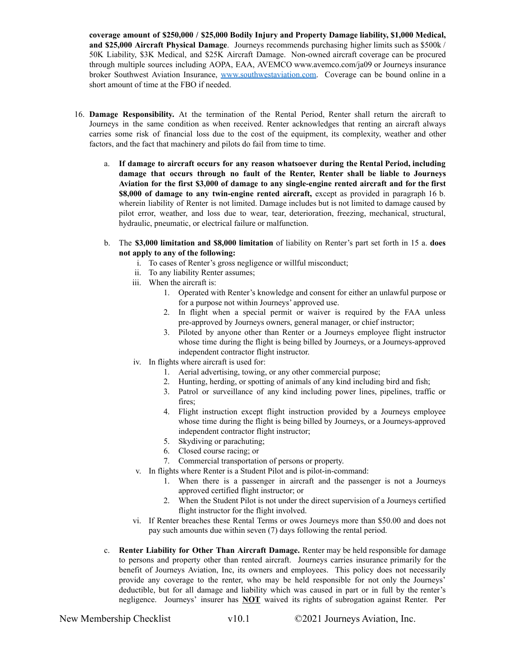**coverage amount of \$250,000 / \$25,000 Bodily Injury and Property Damage liability, \$1,000 Medical, and \$25,000 Aircraft Physical Damage**. Journeys recommends purchasing higher limits such as \$500k / 50K Liability, \$3K Medical, and \$25K Aircraft Damage. Non-owned aircraft coverage can be procured through multiple sources including AOPA, EAA, AVEMCO www.avemco.com/ja09 or Journeys insurance broker Southwest Aviation Insurance, [www.southwestaviation.com.](http://www.southwestaviation.com) Coverage can be bound online in a short amount of time at the FBO if needed.

- 16. **Damage Responsibility.** At the termination of the Rental Period, Renter shall return the aircraft to Journeys in the same condition as when received. Renter acknowledges that renting an aircraft always carries some risk of financial loss due to the cost of the equipment, its complexity, weather and other factors, and the fact that machinery and pilots do fail from time to time.
	- a. **If damage to aircraft occurs for any reason whatsoever during the Rental Period, including damage that occurs through no fault of the Renter, Renter shall be liable to Journeys Aviation for the first \$3,000 of damage to any single-engine rented aircraft and for the first \$8,000 of damage to any twin-engine rented aircraft,** except as provided in paragraph 16 b. wherein liability of Renter is not limited. Damage includes but is not limited to damage caused by pilot error, weather, and loss due to wear, tear, deterioration, freezing, mechanical, structural, hydraulic, pneumatic, or electrical failure or malfunction.
	- b. The **\$3,000 limitation and \$8,000 limitation** of liability on Renter's part set forth in 15 a. **does not apply to any of the following:**
		- i. To cases of Renter's gross negligence or willful misconduct;
		- ii. To any liability Renter assumes;
		- iii. When the aircraft is:
			- 1. Operated with Renter's knowledge and consent for either an unlawful purpose or for a purpose not within Journeys' approved use.
			- 2. In flight when a special permit or waiver is required by the FAA unless pre-approved by Journeys owners, general manager, or chief instructor;
			- 3. Piloted by anyone other than Renter or a Journeys employee flight instructor whose time during the flight is being billed by Journeys, or a Journeys-approved independent contractor flight instructor.
		- iv. In flights where aircraft is used for:
			- 1. Aerial advertising, towing, or any other commercial purpose;
			- 2. Hunting, herding, or spotting of animals of any kind including bird and fish;
			- 3. Patrol or surveillance of any kind including power lines, pipelines, traffic or fires;
			- 4. Flight instruction except flight instruction provided by a Journeys employee whose time during the flight is being billed by Journeys, or a Journeys-approved independent contractor flight instructor;
			- 5. Skydiving or parachuting;
			- 6. Closed course racing; or
			- 7. Commercial transportation of persons or property.
		- v. In flights where Renter is a Student Pilot and is pilot-in-command:
			- 1. When there is a passenger in aircraft and the passenger is not a Journeys approved certified flight instructor; or
			- 2. When the Student Pilot is not under the direct supervision of a Journeys certified flight instructor for the flight involved.
		- vi. If Renter breaches these Rental Terms or owes Journeys more than \$50.00 and does not pay such amounts due within seven (7) days following the rental period.
	- c. **Renter Liability for Other Than Aircraft Damage.** Renter may be held responsible for damage to persons and property other than rented aircraft. Journeys carries insurance primarily for the benefit of Journeys Aviation, Inc, its owners and employees. This policy does not necessarily provide any coverage to the renter, who may be held responsible for not only the Journeys' deductible, but for all damage and liability which was caused in part or in full by the renter's negligence. Journeys' insurer has **NOT** waived its rights of subrogation against Renter. Per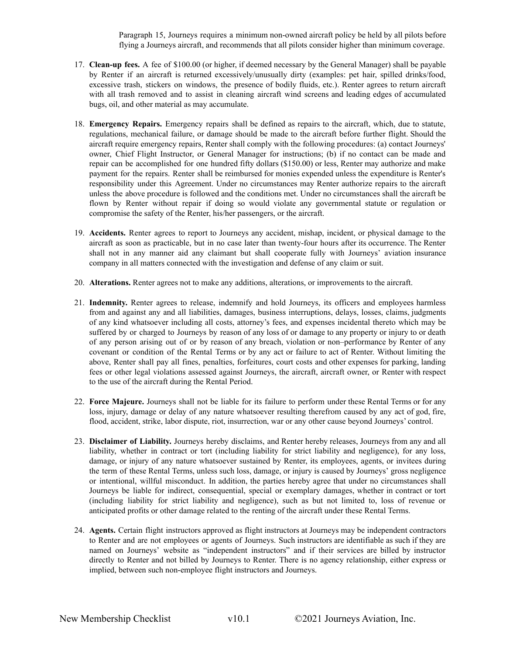Paragraph 15, Journeys requires a minimum non-owned aircraft policy be held by all pilots before flying a Journeys aircraft, and recommends that all pilots consider higher than minimum coverage.

- 17. **Clean-up fees.** A fee of \$100.00 (or higher, if deemed necessary by the General Manager) shall be payable by Renter if an aircraft is returned excessively/unusually dirty (examples: pet hair, spilled drinks/food, excessive trash, stickers on windows, the presence of bodily fluids, etc.). Renter agrees to return aircraft with all trash removed and to assist in cleaning aircraft wind screens and leading edges of accumulated bugs, oil, and other material as may accumulate.
- 18. **Emergency Repairs.** Emergency repairs shall be defined as repairs to the aircraft, which, due to statute, regulations, mechanical failure, or damage should be made to the aircraft before further flight. Should the aircraft require emergency repairs, Renter shall comply with the following procedures: (a) contact Journeys' owner, Chief Flight Instructor, or General Manager for instructions; (b) if no contact can be made and repair can be accomplished for one hundred fifty dollars (\$150.00) or less, Renter may authorize and make payment for the repairs. Renter shall be reimbursed for monies expended unless the expenditure is Renter's responsibility under this Agreement. Under no circumstances may Renter authorize repairs to the aircraft unless the above procedure is followed and the conditions met. Under no circumstances shall the aircraft be flown by Renter without repair if doing so would violate any governmental statute or regulation or compromise the safety of the Renter, his/her passengers, or the aircraft.
- 19. **Accidents.** Renter agrees to report to Journeys any accident, mishap, incident, or physical damage to the aircraft as soon as practicable, but in no case later than twenty-four hours after its occurrence. The Renter shall not in any manner aid any claimant but shall cooperate fully with Journeys' aviation insurance company in all matters connected with the investigation and defense of any claim or suit.
- 20. **Alterations.** Renter agrees not to make any additions, alterations, or improvements to the aircraft.
- 21. **Indemnity.** Renter agrees to release, indemnify and hold Journeys, its officers and employees harmless from and against any and all liabilities, damages, business interruptions, delays, losses, claims, judgments of any kind whatsoever including all costs, attorney's fees, and expenses incidental thereto which may be suffered by or charged to Journeys by reason of any loss of or damage to any property or injury to or death of any person arising out of or by reason of any breach, violation or non–performance by Renter of any covenant or condition of the Rental Terms or by any act or failure to act of Renter. Without limiting the above, Renter shall pay all fines, penalties, forfeitures, court costs and other expenses for parking, landing fees or other legal violations assessed against Journeys, the aircraft, aircraft owner, or Renter with respect to the use of the aircraft during the Rental Period.
- 22. **Force Majeure.** Journeys shall not be liable for its failure to perform under these Rental Terms or for any loss, injury, damage or delay of any nature whatsoever resulting therefrom caused by any act of god, fire, flood, accident, strike, labor dispute, riot, insurrection, war or any other cause beyond Journeys' control.
- 23. **Disclaimer of Liability.** Journeys hereby disclaims, and Renter hereby releases, Journeys from any and all liability, whether in contract or tort (including liability for strict liability and negligence), for any loss, damage, or injury of any nature whatsoever sustained by Renter, its employees, agents, or invitees during the term of these Rental Terms, unless such loss, damage, or injury is caused by Journeys' gross negligence or intentional, willful misconduct. In addition, the parties hereby agree that under no circumstances shall Journeys be liable for indirect, consequential, special or exemplary damages, whether in contract or tort (including liability for strict liability and negligence), such as but not limited to, loss of revenue or anticipated profits or other damage related to the renting of the aircraft under these Rental Terms.
- 24. **Agents.** Certain flight instructors approved as flight instructors at Journeys may be independent contractors to Renter and are not employees or agents of Journeys. Such instructors are identifiable as such if they are named on Journeys' website as "independent instructors" and if their services are billed by instructor directly to Renter and not billed by Journeys to Renter. There is no agency relationship, either express or implied, between such non-employee flight instructors and Journeys.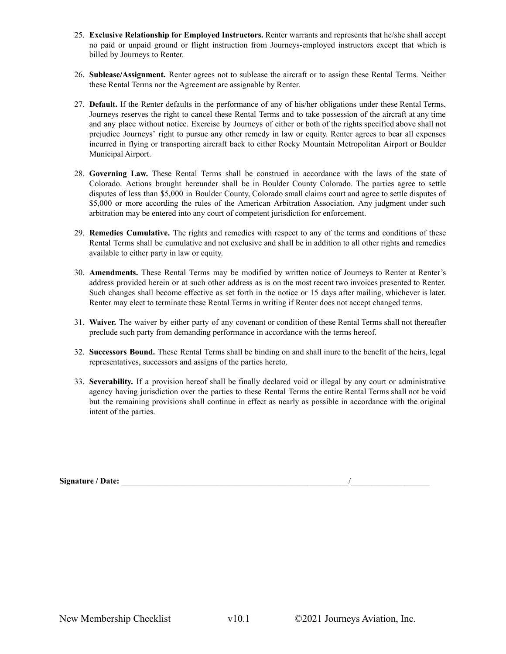- 25. **Exclusive Relationship for Employed Instructors.** Renter warrants and represents that he/she shall accept no paid or unpaid ground or flight instruction from Journeys-employed instructors except that which is billed by Journeys to Renter.
- 26. **Sublease/Assignment.** Renter agrees not to sublease the aircraft or to assign these Rental Terms. Neither these Rental Terms nor the Agreement are assignable by Renter.
- 27. **Default.** If the Renter defaults in the performance of any of his/her obligations under these Rental Terms, Journeys reserves the right to cancel these Rental Terms and to take possession of the aircraft at any time and any place without notice. Exercise by Journeys of either or both of the rights specified above shall not prejudice Journeys' right to pursue any other remedy in law or equity. Renter agrees to bear all expenses incurred in flying or transporting aircraft back to either Rocky Mountain Metropolitan Airport or Boulder Municipal Airport.
- 28. **Governing Law.** These Rental Terms shall be construed in accordance with the laws of the state of Colorado. Actions brought hereunder shall be in Boulder County Colorado. The parties agree to settle disputes of less than \$5,000 in Boulder County, Colorado small claims court and agree to settle disputes of \$5,000 or more according the rules of the American Arbitration Association. Any judgment under such arbitration may be entered into any court of competent jurisdiction for enforcement.
- 29. **Remedies Cumulative.** The rights and remedies with respect to any of the terms and conditions of these Rental Terms shall be cumulative and not exclusive and shall be in addition to all other rights and remedies available to either party in law or equity.
- 30. **Amendments.** These Rental Terms may be modified by written notice of Journeys to Renter at Renter's address provided herein or at such other address as is on the most recent two invoices presented to Renter. Such changes shall become effective as set forth in the notice or 15 days after mailing, whichever is later. Renter may elect to terminate these Rental Terms in writing if Renter does not accept changed terms.
- 31. **Waiver.** The waiver by either party of any covenant or condition of these Rental Terms shall not thereafter preclude such party from demanding performance in accordance with the terms hereof.
- 32. **Successors Bound.** These Rental Terms shall be binding on and shall inure to the benefit of the heirs, legal representatives, successors and assigns of the parties hereto.
- 33. **Severability.** If a provision hereof shall be finally declared void or illegal by any court or administrative agency having jurisdiction over the parties to these Rental Terms the entire Rental Terms shall not be void but the remaining provisions shall continue in effect as nearly as possible in accordance with the original intent of the parties.

Signature / Date: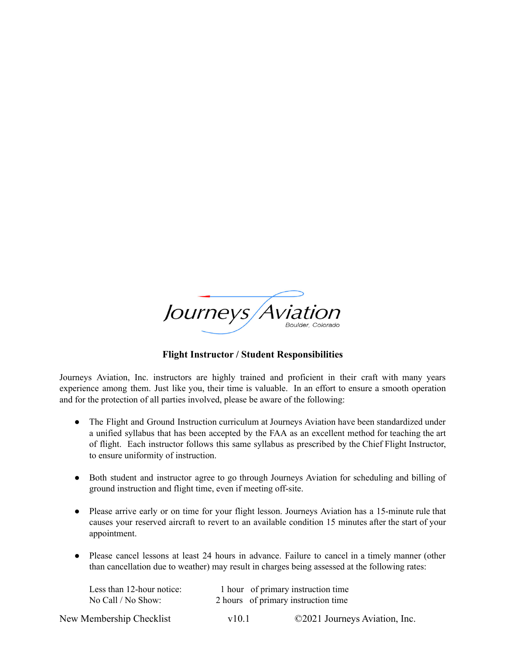

## **Flight Instructor / Student Responsibilities**

Journeys Aviation, Inc. instructors are highly trained and proficient in their craft with many years experience among them. Just like you, their time is valuable. In an effort to ensure a smooth operation and for the protection of all parties involved, please be aware of the following:

- The Flight and Ground Instruction curriculum at Journeys Aviation have been standardized under a unified syllabus that has been accepted by the FAA as an excellent method for teaching the art of flight. Each instructor follows this same syllabus as prescribed by the Chief Flight Instructor, to ensure uniformity of instruction.
- Both student and instructor agree to go through Journeys Aviation for scheduling and billing of ground instruction and flight time, even if meeting off-site.
- Please arrive early or on time for your flight lesson. Journeys Aviation has a 15-minute rule that causes your reserved aircraft to revert to an available condition 15 minutes after the start of your appointment.
- Please cancel lessons at least 24 hours in advance. Failure to cancel in a timely manner (other than cancellation due to weather) may result in charges being assessed at the following rates:

| Less than 12-hour notice: |            | 1 hour of primary instruction time  |
|---------------------------|------------|-------------------------------------|
| No Call / No Show:        |            | 2 hours of primary instruction time |
| New Membership Checklist  | $\rm v101$ | ©2021 Journeys Aviation, Inc.       |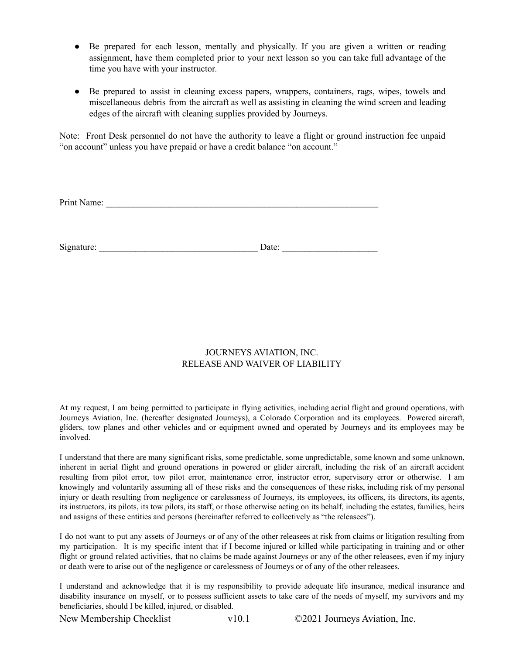- *●* Be prepared for each lesson, mentally and physically. If you are given a written or reading assignment, have them completed prior to your next lesson so you can take full advantage of the time you have with your instructor*.*
- Be prepared to assist in cleaning excess papers, wrappers, containers, rags, wipes, towels and miscellaneous debris from the aircraft as well as assisting in cleaning the wind screen and leading edges of the aircraft with cleaning supplies provided by Journeys.

Note: Front Desk personnel do not have the authority to leave a flight or ground instruction fee unpaid "on account" unless you have prepaid or have a credit balance "on account."

| Print Name: |       |  |
|-------------|-------|--|
|             |       |  |
|             |       |  |
|             |       |  |
| Signature:  | Date: |  |

### JOURNEYS AVIATION, INC. RELEASE AND WAIVER OF LIABILITY

At my request, I am being permitted to participate in flying activities, including aerial flight and ground operations, with Journeys Aviation, Inc. (hereafter designated Journeys), a Colorado Corporation and its employees. Powered aircraft, gliders, tow planes and other vehicles and or equipment owned and operated by Journeys and its employees may be involved.

I understand that there are many significant risks, some predictable, some unpredictable, some known and some unknown, inherent in aerial flight and ground operations in powered or glider aircraft, including the risk of an aircraft accident resulting from pilot error, tow pilot error, maintenance error, instructor error, supervisory error or otherwise. I am knowingly and voluntarily assuming all of these risks and the consequences of these risks, including risk of my personal injury or death resulting from negligence or carelessness of Journeys, its employees, its officers, its directors, its agents, its instructors, its pilots, its tow pilots, its staff, or those otherwise acting on its behalf, including the estates, families, heirs and assigns of these entities and persons (hereinafter referred to collectively as "the releasees").

I do not want to put any assets of Journeys or of any of the other releasees at risk from claims or litigation resulting from my participation. It is my specific intent that if I become injured or killed while participating in training and or other flight or ground related activities, that no claims be made against Journeys or any of the other releasees, even if my injury or death were to arise out of the negligence or carelessness of Journeys or of any of the other releasees.

I understand and acknowledge that it is my responsibility to provide adequate life insurance, medical insurance and disability insurance on myself, or to possess sufficient assets to take care of the needs of myself, my survivors and my beneficiaries, should I be killed, injured, or disabled.

New Membership Checklist v10.1 ©2021 Journeys Aviation, Inc.